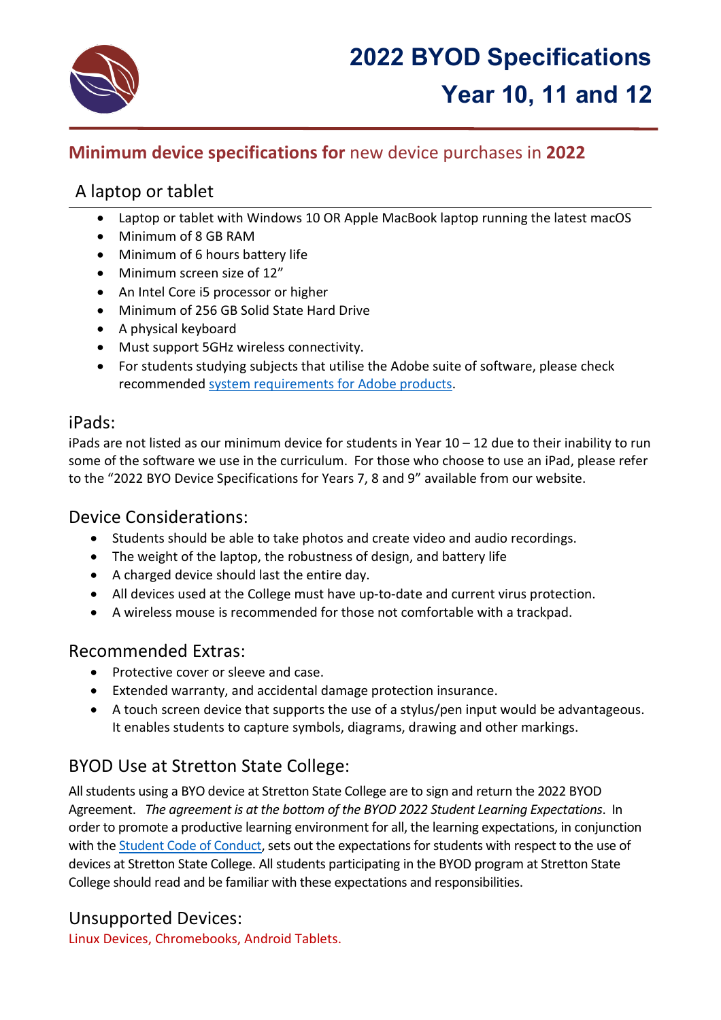

# **Minimum device specifications for** new device purchases in **2022**

# A laptop or tablet

- Laptop or tablet with Windows 10 OR Apple MacBook laptop running the latest macOS
- Minimum of 8 GB RAM
- Minimum of 6 hours battery life
- Minimum screen size of 12"
- An Intel Core i5 processor or higher
- Minimum of 256 GB Solid State Hard Drive
- A physical keyboard
- Must support 5GHz wireless connectivity.
- For students studying subjects that utilise the Adobe suite of software, please check recommended [system requirements for](https://helpx.adobe.com/au/creative-cloud/system-requirements.html) Adobe products.

## iPads:

iPads are not listed as our minimum device for students in Year 10 – 12 due to their inability to run some of the software we use in the curriculum. For those who choose to use an iPad, please refer to the "2022 BYO Device Specifications for Years 7, 8 and 9" available from our website.

## Device Considerations:

- Students should be able to take photos and create video and audio recordings.
- The weight of the laptop, the robustness of design, and battery life
- A charged device should last the entire day.
- All devices used at the College must have up-to-date and current virus protection.
- A wireless mouse is recommended for those not comfortable with a trackpad.

## Recommended Extras:

- Protective cover or sleeve and case.
- Extended warranty, and accidental damage protection insurance.
- A touch screen device that supports the use of a stylus/pen input would be advantageous. It enables students to capture symbols, diagrams, drawing and other markings.

## BYOD Use at Stretton State College:

All students using a BYO device at Stretton State College are to sign and return the 2022 BYOD Agreement. *The agreement is at the bottom of the BYOD 2022 Student Learning Expectations*. In order to promote a productive learning environment for all, the learning expectations, in conjunction with the [Student Code of Conduct,](https://strettonsc.eq.edu.au/SupportAndResources/FormsAndDocuments/Documents/Student%20Code%20of%20Conduct%202020%20-%202023.pdf) sets out the expectations for students with respect to the use of devices at Stretton State College. All students participating in the BYOD program at Stretton State College should read and be familiar with these expectations and responsibilities.

## Unsupported Devices:

Linux Devices, Chromebooks, Android Tablets.